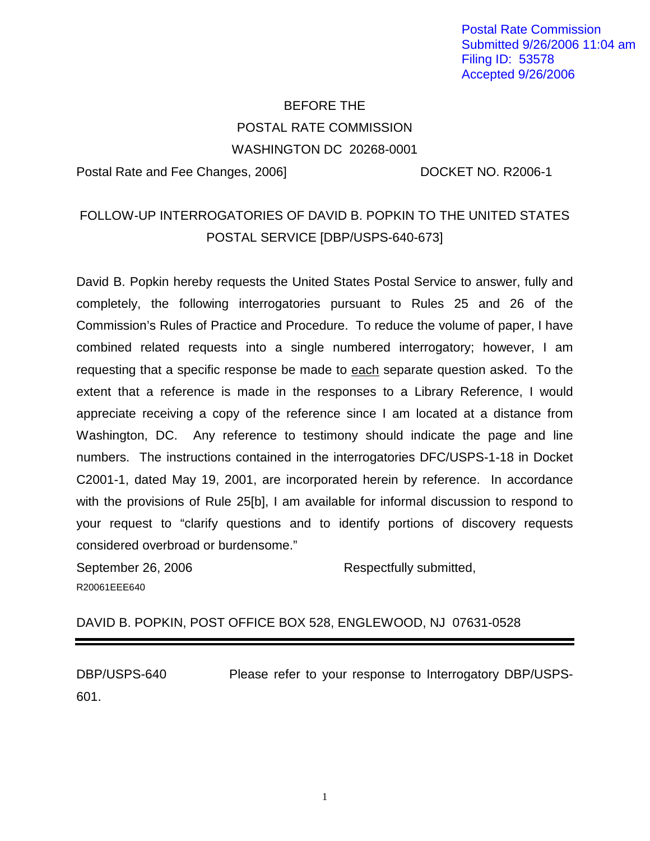Postal Rate Commission Submitted 9/26/2006 11:04 am Filing ID: 53578 Accepted 9/26/2006

## BEFORE THE POSTAL RATE COMMISSION WASHINGTON DC 20268-0001

Postal Rate and Fee Changes, 2006] DOCKET NO. R2006-1

## FOLLOW-UP INTERROGATORIES OF DAVID B. POPKIN TO THE UNITED STATES POSTAL SERVICE [DBP/USPS-640-673]

David B. Popkin hereby requests the United States Postal Service to answer, fully and completely, the following interrogatories pursuant to Rules 25 and 26 of the Commission's Rules of Practice and Procedure. To reduce the volume of paper, I have combined related requests into a single numbered interrogatory; however, I am requesting that a specific response be made to each separate question asked. To the extent that a reference is made in the responses to a Library Reference, I would appreciate receiving a copy of the reference since I am located at a distance from Washington, DC. Any reference to testimony should indicate the page and line numbers. The instructions contained in the interrogatories DFC/USPS-1-18 in Docket C2001-1, dated May 19, 2001, are incorporated herein by reference. In accordance with the provisions of Rule 25[b], I am available for informal discussion to respond to your request to "clarify questions and to identify portions of discovery requests considered overbroad or burdensome."

September 26, 2006 **Respectfully submitted,** R20061EEE640

DAVID B. POPKIN, POST OFFICE BOX 528, ENGLEWOOD, NJ 07631-0528

DBP/USPS-640 Please refer to your response to Interrogatory DBP/USPS-601.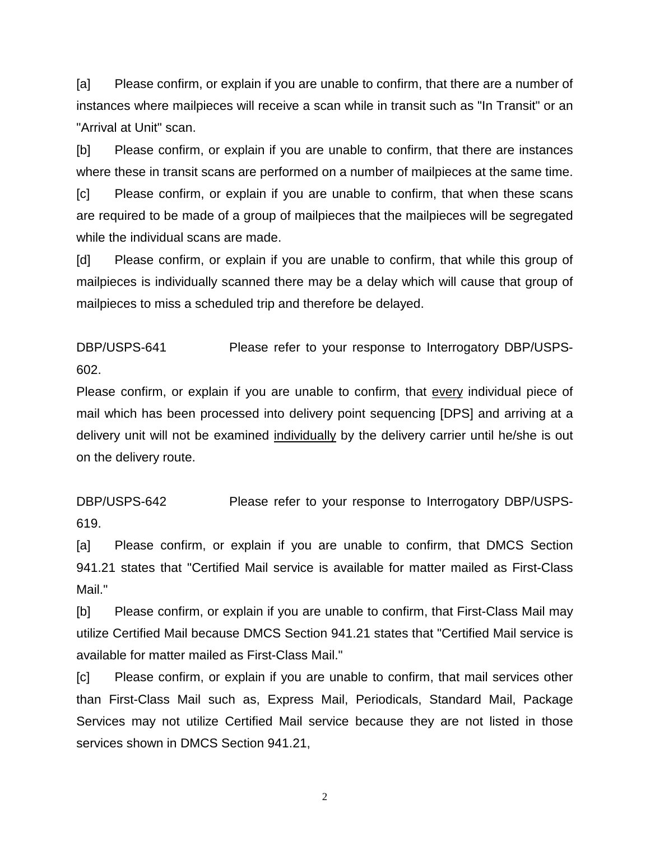[a] Please confirm, or explain if you are unable to confirm, that there are a number of instances where mailpieces will receive a scan while in transit such as "In Transit" or an "Arrival at Unit" scan.

[b] Please confirm, or explain if you are unable to confirm, that there are instances where these in transit scans are performed on a number of mailpieces at the same time.

[c] Please confirm, or explain if you are unable to confirm, that when these scans are required to be made of a group of mailpieces that the mailpieces will be segregated while the individual scans are made.

[d] Please confirm, or explain if you are unable to confirm, that while this group of mailpieces is individually scanned there may be a delay which will cause that group of mailpieces to miss a scheduled trip and therefore be delayed.

DBP/USPS-641 Please refer to your response to Interrogatory DBP/USPS-602.

Please confirm, or explain if you are unable to confirm, that every individual piece of mail which has been processed into delivery point sequencing [DPS] and arriving at a delivery unit will not be examined individually by the delivery carrier until he/she is out on the delivery route.

DBP/USPS-642 Please refer to your response to Interrogatory DBP/USPS-619.

[a] Please confirm, or explain if you are unable to confirm, that DMCS Section 941.21 states that "Certified Mail service is available for matter mailed as First-Class Mail."

[b] Please confirm, or explain if you are unable to confirm, that First-Class Mail may utilize Certified Mail because DMCS Section 941.21 states that "Certified Mail service is available for matter mailed as First-Class Mail."

[c] Please confirm, or explain if you are unable to confirm, that mail services other than First-Class Mail such as, Express Mail, Periodicals, Standard Mail, Package Services may not utilize Certified Mail service because they are not listed in those services shown in DMCS Section 941.21,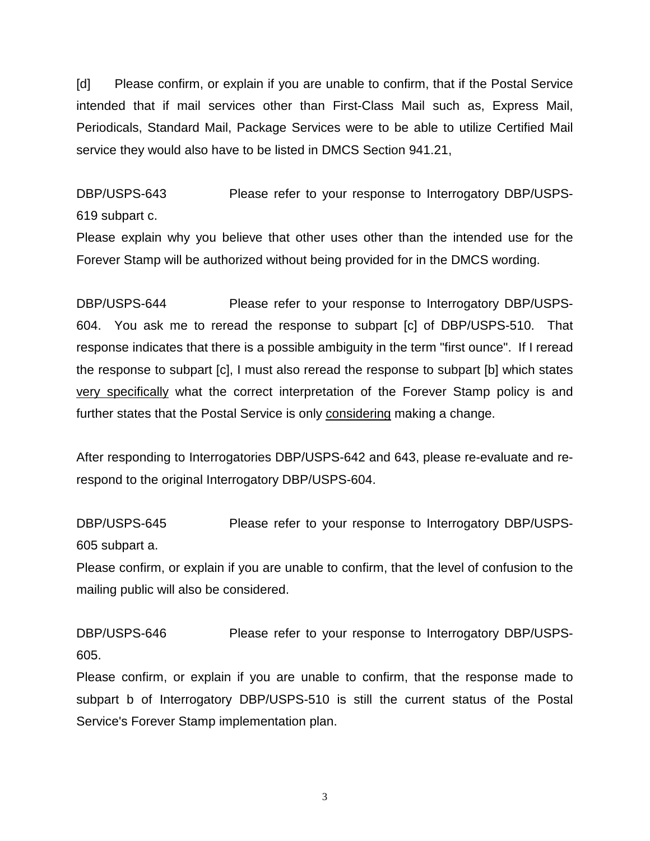[d] Please confirm, or explain if you are unable to confirm, that if the Postal Service intended that if mail services other than First-Class Mail such as, Express Mail, Periodicals, Standard Mail, Package Services were to be able to utilize Certified Mail service they would also have to be listed in DMCS Section 941.21,

DBP/USPS-643 Please refer to your response to Interrogatory DBP/USPS-619 subpart c.

Please explain why you believe that other uses other than the intended use for the Forever Stamp will be authorized without being provided for in the DMCS wording.

DBP/USPS-644 Please refer to your response to Interrogatory DBP/USPS-604. You ask me to reread the response to subpart [c] of DBP/USPS-510. That response indicates that there is a possible ambiguity in the term "first ounce". If I reread the response to subpart [c], I must also reread the response to subpart [b] which states very specifically what the correct interpretation of the Forever Stamp policy is and further states that the Postal Service is only considering making a change.

After responding to Interrogatories DBP/USPS-642 and 643, please re-evaluate and rerespond to the original Interrogatory DBP/USPS-604.

DBP/USPS-645 Please refer to your response to Interrogatory DBP/USPS-605 subpart a.

Please confirm, or explain if you are unable to confirm, that the level of confusion to the mailing public will also be considered.

DBP/USPS-646 Please refer to your response to Interrogatory DBP/USPS-605.

Please confirm, or explain if you are unable to confirm, that the response made to subpart b of Interrogatory DBP/USPS-510 is still the current status of the Postal Service's Forever Stamp implementation plan.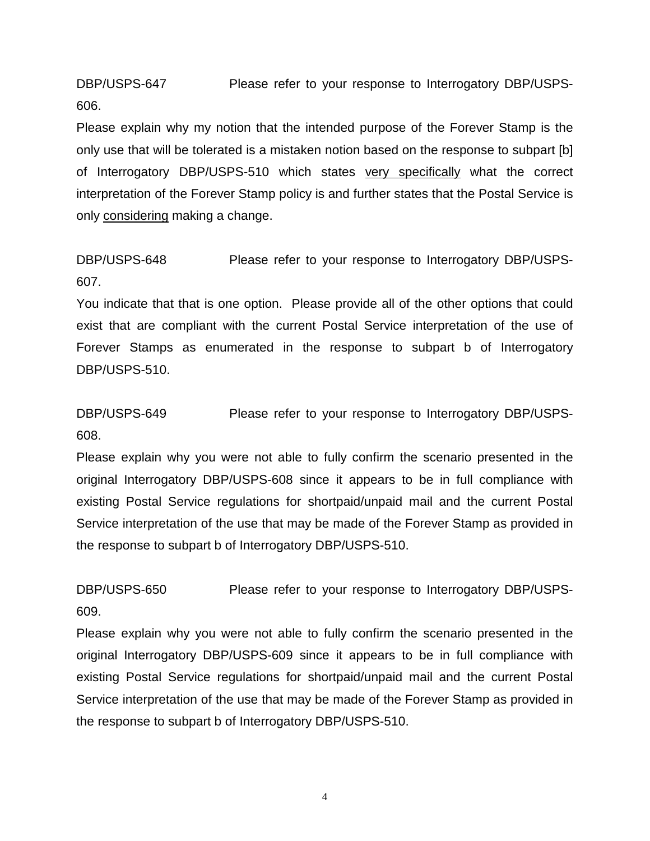DBP/USPS-647 Please refer to your response to Interrogatory DBP/USPS-606.

Please explain why my notion that the intended purpose of the Forever Stamp is the only use that will be tolerated is a mistaken notion based on the response to subpart [b] of Interrogatory DBP/USPS-510 which states very specifically what the correct interpretation of the Forever Stamp policy is and further states that the Postal Service is only considering making a change.

DBP/USPS-648 Please refer to your response to Interrogatory DBP/USPS-607.

You indicate that that is one option. Please provide all of the other options that could exist that are compliant with the current Postal Service interpretation of the use of Forever Stamps as enumerated in the response to subpart b of Interrogatory DBP/USPS-510.

DBP/USPS-649 Please refer to your response to Interrogatory DBP/USPS-608.

Please explain why you were not able to fully confirm the scenario presented in the original Interrogatory DBP/USPS-608 since it appears to be in full compliance with existing Postal Service regulations for shortpaid/unpaid mail and the current Postal Service interpretation of the use that may be made of the Forever Stamp as provided in the response to subpart b of Interrogatory DBP/USPS-510.

DBP/USPS-650 Please refer to your response to Interrogatory DBP/USPS-609.

Please explain why you were not able to fully confirm the scenario presented in the original Interrogatory DBP/USPS-609 since it appears to be in full compliance with existing Postal Service regulations for shortpaid/unpaid mail and the current Postal Service interpretation of the use that may be made of the Forever Stamp as provided in the response to subpart b of Interrogatory DBP/USPS-510.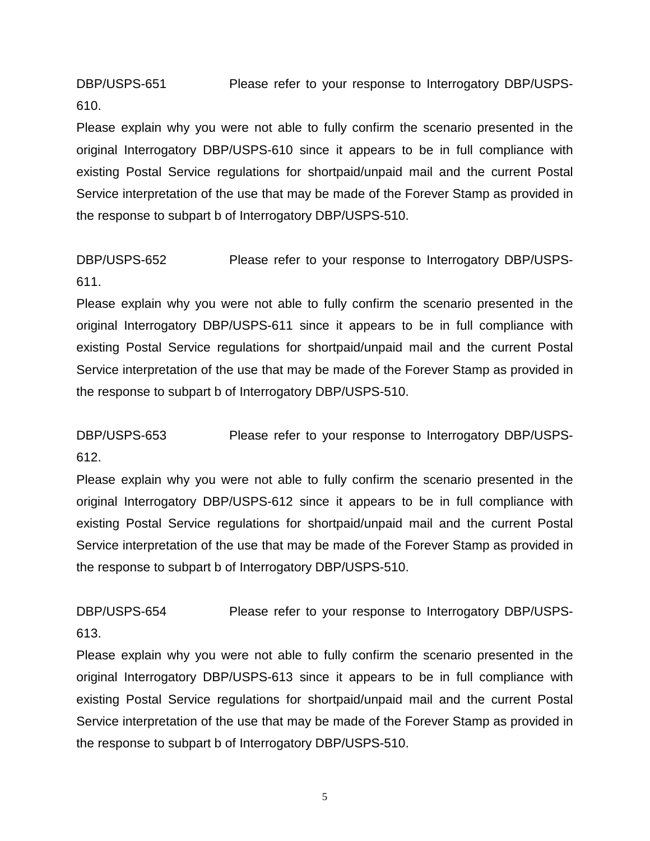DBP/USPS-651 Please refer to your response to Interrogatory DBP/USPS-610.

Please explain why you were not able to fully confirm the scenario presented in the original Interrogatory DBP/USPS-610 since it appears to be in full compliance with existing Postal Service regulations for shortpaid/unpaid mail and the current Postal Service interpretation of the use that may be made of the Forever Stamp as provided in the response to subpart b of Interrogatory DBP/USPS-510.

DBP/USPS-652 Please refer to your response to Interrogatory DBP/USPS-611.

Please explain why you were not able to fully confirm the scenario presented in the original Interrogatory DBP/USPS-611 since it appears to be in full compliance with existing Postal Service regulations for shortpaid/unpaid mail and the current Postal Service interpretation of the use that may be made of the Forever Stamp as provided in the response to subpart b of Interrogatory DBP/USPS-510.

DBP/USPS-653 Please refer to your response to Interrogatory DBP/USPS-612.

Please explain why you were not able to fully confirm the scenario presented in the original Interrogatory DBP/USPS-612 since it appears to be in full compliance with existing Postal Service regulations for shortpaid/unpaid mail and the current Postal Service interpretation of the use that may be made of the Forever Stamp as provided in the response to subpart b of Interrogatory DBP/USPS-510.

DBP/USPS-654 Please refer to your response to Interrogatory DBP/USPS-613.

Please explain why you were not able to fully confirm the scenario presented in the original Interrogatory DBP/USPS-613 since it appears to be in full compliance with existing Postal Service regulations for shortpaid/unpaid mail and the current Postal Service interpretation of the use that may be made of the Forever Stamp as provided in the response to subpart b of Interrogatory DBP/USPS-510.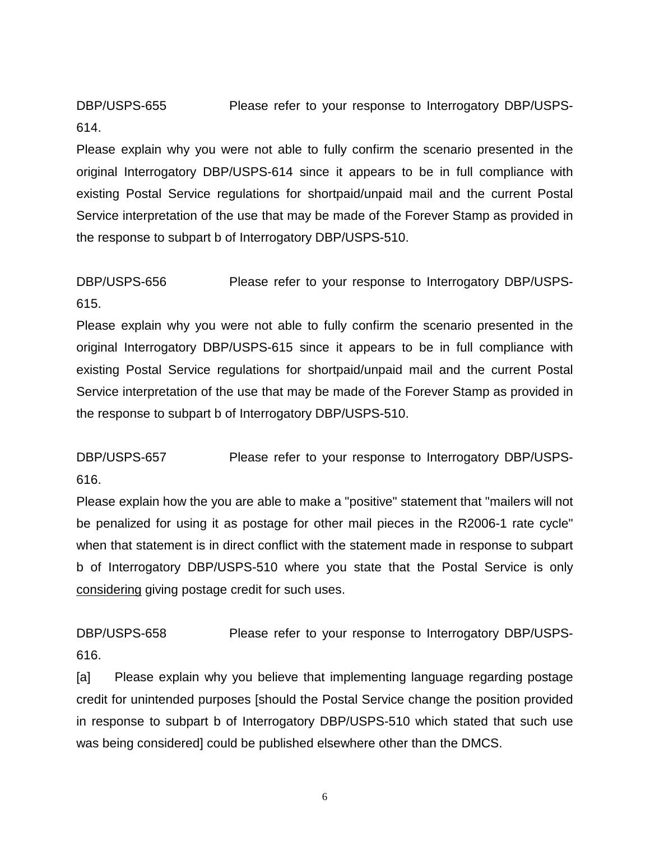DBP/USPS-655 Please refer to your response to Interrogatory DBP/USPS-614.

Please explain why you were not able to fully confirm the scenario presented in the original Interrogatory DBP/USPS-614 since it appears to be in full compliance with existing Postal Service regulations for shortpaid/unpaid mail and the current Postal Service interpretation of the use that may be made of the Forever Stamp as provided in the response to subpart b of Interrogatory DBP/USPS-510.

DBP/USPS-656 Please refer to your response to Interrogatory DBP/USPS-615.

Please explain why you were not able to fully confirm the scenario presented in the original Interrogatory DBP/USPS-615 since it appears to be in full compliance with existing Postal Service regulations for shortpaid/unpaid mail and the current Postal Service interpretation of the use that may be made of the Forever Stamp as provided in the response to subpart b of Interrogatory DBP/USPS-510.

DBP/USPS-657 Please refer to your response to Interrogatory DBP/USPS-616.

Please explain how the you are able to make a "positive" statement that "mailers will not be penalized for using it as postage for other mail pieces in the R2006-1 rate cycle" when that statement is in direct conflict with the statement made in response to subpart b of Interrogatory DBP/USPS-510 where you state that the Postal Service is only considering giving postage credit for such uses.

DBP/USPS-658 Please refer to your response to Interrogatory DBP/USPS-616.

[a] Please explain why you believe that implementing language regarding postage credit for unintended purposes [should the Postal Service change the position provided in response to subpart b of Interrogatory DBP/USPS-510 which stated that such use was being considered] could be published elsewhere other than the DMCS.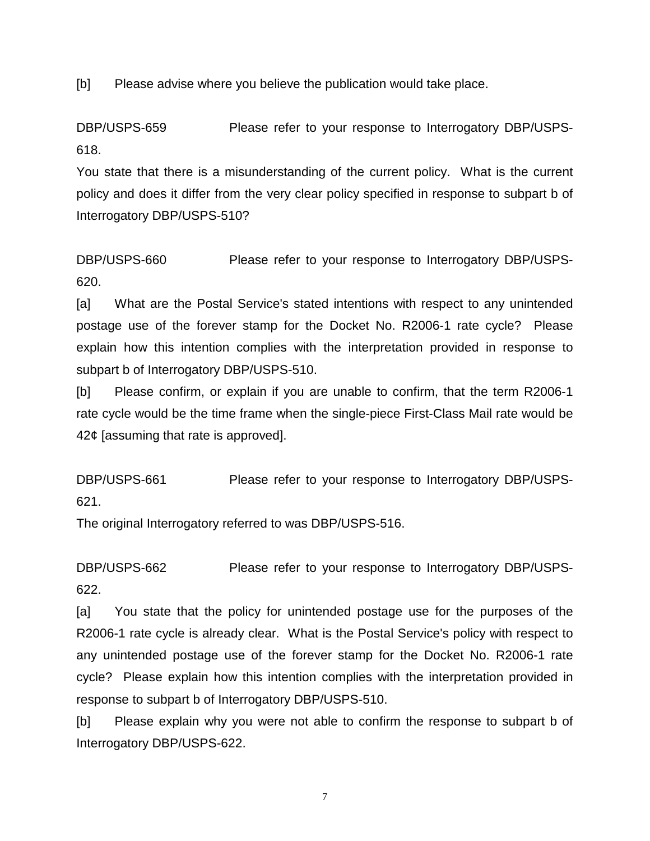[b] Please advise where you believe the publication would take place.

DBP/USPS-659 Please refer to your response to Interrogatory DBP/USPS-618.

You state that there is a misunderstanding of the current policy. What is the current policy and does it differ from the very clear policy specified in response to subpart b of Interrogatory DBP/USPS-510?

DBP/USPS-660 Please refer to your response to Interrogatory DBP/USPS-620.

[a] What are the Postal Service's stated intentions with respect to any unintended postage use of the forever stamp for the Docket No. R2006-1 rate cycle? Please explain how this intention complies with the interpretation provided in response to subpart b of Interrogatory DBP/USPS-510.

[b] Please confirm, or explain if you are unable to confirm, that the term R2006-1 rate cycle would be the time frame when the single-piece First-Class Mail rate would be 42¢ [assuming that rate is approved].

DBP/USPS-661 Please refer to your response to Interrogatory DBP/USPS-621.

The original Interrogatory referred to was DBP/USPS-516.

DBP/USPS-662 Please refer to your response to Interrogatory DBP/USPS-622.

[a] You state that the policy for unintended postage use for the purposes of the R2006-1 rate cycle is already clear. What is the Postal Service's policy with respect to any unintended postage use of the forever stamp for the Docket No. R2006-1 rate cycle? Please explain how this intention complies with the interpretation provided in response to subpart b of Interrogatory DBP/USPS-510.

[b] Please explain why you were not able to confirm the response to subpart b of Interrogatory DBP/USPS-622.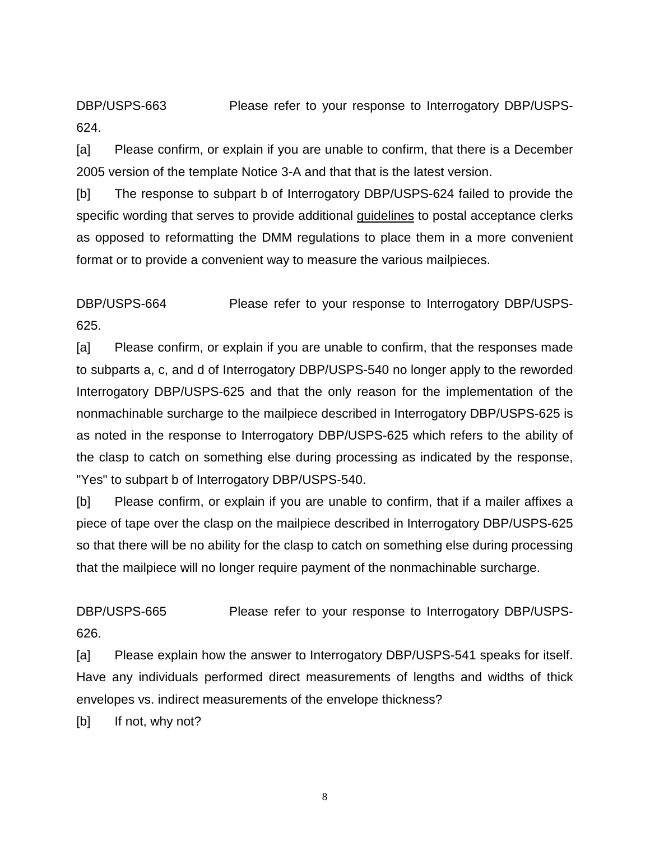DBP/USPS-663 Please refer to your response to Interrogatory DBP/USPS-624.

[a] Please confirm, or explain if you are unable to confirm, that there is a December 2005 version of the template Notice 3-A and that that is the latest version.

[b] The response to subpart b of Interrogatory DBP/USPS-624 failed to provide the specific wording that serves to provide additional guidelines to postal acceptance clerks as opposed to reformatting the DMM regulations to place them in a more convenient format or to provide a convenient way to measure the various mailpieces.

DBP/USPS-664 Please refer to your response to Interrogatory DBP/USPS-625.

[a] Please confirm, or explain if you are unable to confirm, that the responses made to subparts a, c, and d of Interrogatory DBP/USPS-540 no longer apply to the reworded Interrogatory DBP/USPS-625 and that the only reason for the implementation of the nonmachinable surcharge to the mailpiece described in Interrogatory DBP/USPS-625 is as noted in the response to Interrogatory DBP/USPS-625 which refers to the ability of the clasp to catch on something else during processing as indicated by the response, "Yes" to subpart b of Interrogatory DBP/USPS-540.

[b] Please confirm, or explain if you are unable to confirm, that if a mailer affixes a piece of tape over the clasp on the mailpiece described in Interrogatory DBP/USPS-625 so that there will be no ability for the clasp to catch on something else during processing that the mailpiece will no longer require payment of the nonmachinable surcharge.

DBP/USPS-665 Please refer to your response to Interrogatory DBP/USPS-626.

[a] Please explain how the answer to Interrogatory DBP/USPS-541 speaks for itself. Have any individuals performed direct measurements of lengths and widths of thick envelopes vs. indirect measurements of the envelope thickness?

[b] If not, why not?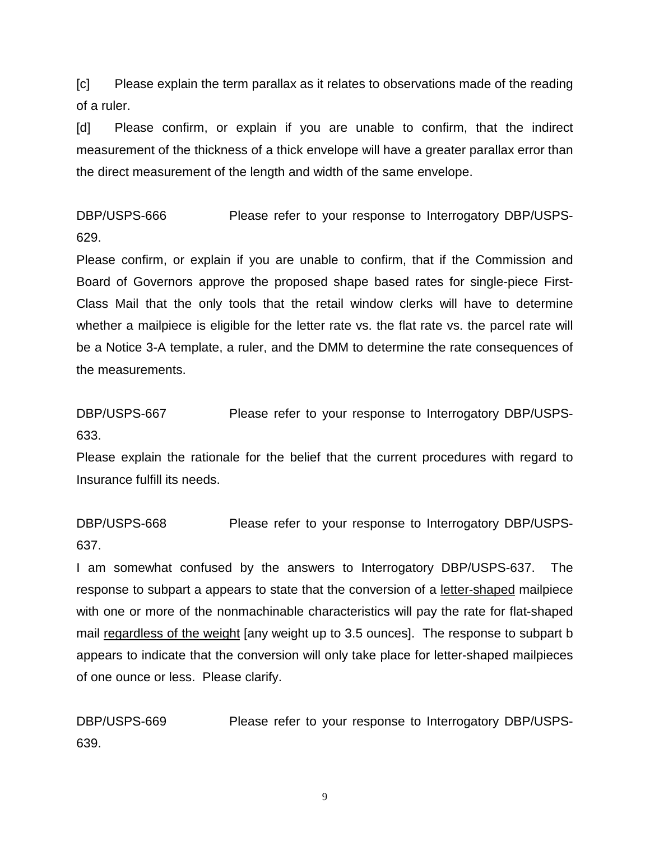[c] Please explain the term parallax as it relates to observations made of the reading of a ruler.

[d] Please confirm, or explain if you are unable to confirm, that the indirect measurement of the thickness of a thick envelope will have a greater parallax error than the direct measurement of the length and width of the same envelope.

DBP/USPS-666 Please refer to your response to Interrogatory DBP/USPS-629.

Please confirm, or explain if you are unable to confirm, that if the Commission and Board of Governors approve the proposed shape based rates for single-piece First-Class Mail that the only tools that the retail window clerks will have to determine whether a mailpiece is eligible for the letter rate vs. the flat rate vs. the parcel rate will be a Notice 3-A template, a ruler, and the DMM to determine the rate consequences of the measurements.

DBP/USPS-667 Please refer to your response to Interrogatory DBP/USPS-633.

Please explain the rationale for the belief that the current procedures with regard to Insurance fulfill its needs.

DBP/USPS-668 Please refer to your response to Interrogatory DBP/USPS-637.

I am somewhat confused by the answers to Interrogatory DBP/USPS-637. The response to subpart a appears to state that the conversion of a letter-shaped mailpiece with one or more of the nonmachinable characteristics will pay the rate for flat-shaped mail regardless of the weight [any weight up to 3.5 ounces]. The response to subpart b appears to indicate that the conversion will only take place for letter-shaped mailpieces of one ounce or less. Please clarify.

DBP/USPS-669 Please refer to your response to Interrogatory DBP/USPS-639.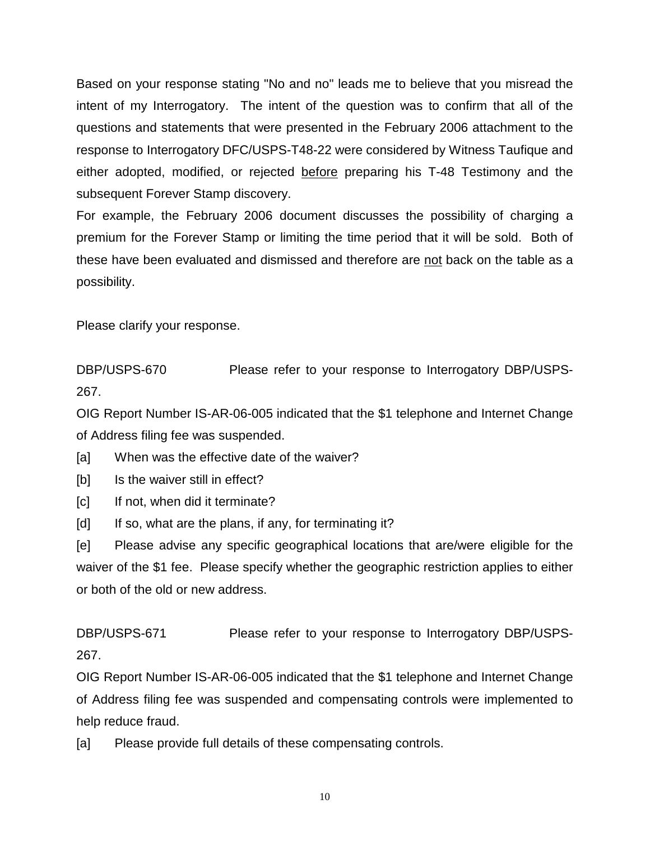Based on your response stating "No and no" leads me to believe that you misread the intent of my Interrogatory. The intent of the question was to confirm that all of the questions and statements that were presented in the February 2006 attachment to the response to Interrogatory DFC/USPS-T48-22 were considered by Witness Taufique and either adopted, modified, or rejected before preparing his T-48 Testimony and the subsequent Forever Stamp discovery.

For example, the February 2006 document discusses the possibility of charging a premium for the Forever Stamp or limiting the time period that it will be sold. Both of these have been evaluated and dismissed and therefore are not back on the table as a possibility.

Please clarify your response.

DBP/USPS-670 Please refer to your response to Interrogatory DBP/USPS-267.

OIG Report Number IS-AR-06-005 indicated that the \$1 telephone and Internet Change of Address filing fee was suspended.

[a] When was the effective date of the waiver?

[b] Is the waiver still in effect?

[c] If not, when did it terminate?

[d] If so, what are the plans, if any, for terminating it?

[e] Please advise any specific geographical locations that are/were eligible for the waiver of the \$1 fee. Please specify whether the geographic restriction applies to either or both of the old or new address.

DBP/USPS-671 Please refer to your response to Interrogatory DBP/USPS-267.

OIG Report Number IS-AR-06-005 indicated that the \$1 telephone and Internet Change of Address filing fee was suspended and compensating controls were implemented to help reduce fraud.

[a] Please provide full details of these compensating controls.